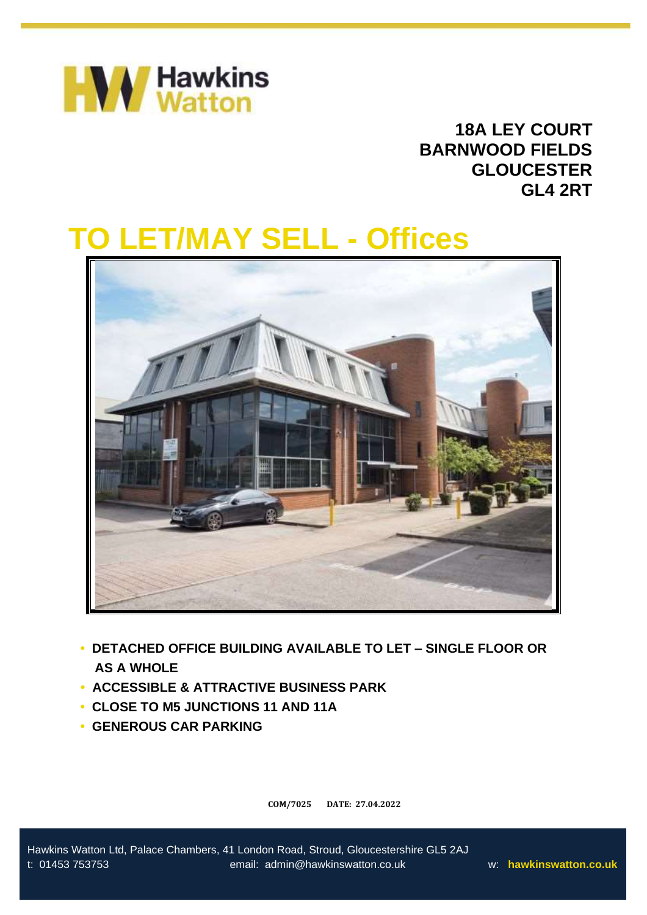

# **18A LEY COURT BARNWOOD FIELDS GLOUCESTER GL4 2RT**

# **TO LET/MAY SELL - Offices**



- **• DETACHED OFFICE BUILDING AVAILABLE TO LET – SINGLE FLOOR OR**  • **AS A WHOLE**
- **• ACCESSIBLE & ATTRACTIVE BUSINESS PARK**
- **• CLOSE TO M5 JUNCTIONS 11 AND 11A**
- **• GENEROUS CAR PARKING**

**COM/7025 DATE: 27.04.2022**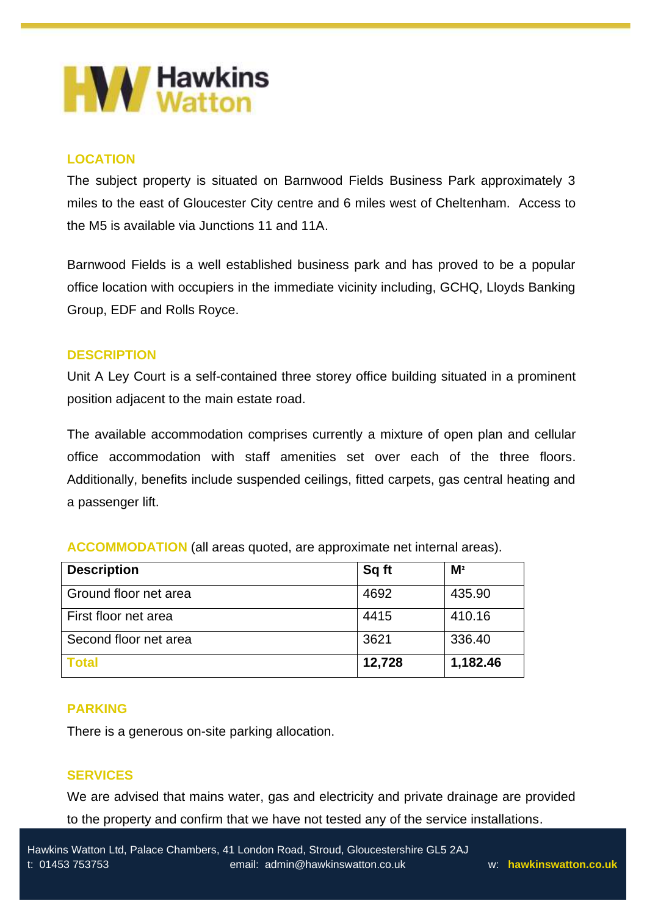

# **LOCATION**

The subject property is situated on Barnwood Fields Business Park approximately 3 miles to the east of Gloucester City centre and 6 miles west of Cheltenham. Access to the M5 is available via Junctions 11 and 11A.

Barnwood Fields is a well established business park and has proved to be a popular office location with occupiers in the immediate vicinity including, GCHQ, Lloyds Banking Group, EDF and Rolls Royce.

# **DESCRIPTION**

Unit A Ley Court is a self-contained three storey office building situated in a prominent position adjacent to the main estate road.

The available accommodation comprises currently a mixture of open plan and cellular office accommodation with staff amenities set over each of the three floors. Additionally, benefits include suspended ceilings, fitted carpets, gas central heating and a passenger lift.

| <b>Description</b>    | Sq ft  | M <sup>2</sup> |
|-----------------------|--------|----------------|
| Ground floor net area | 4692   | 435.90         |
| First floor net area  | 4415   | 410.16         |
| Second floor net area | 3621   | 336.40         |
| <b>Total</b>          | 12,728 | 1,182.46       |

**ACCOMMODATION** (all areas quoted, are approximate net internal areas).

# **PARKING**

There is a generous on-site parking allocation.

# **SERVICES**

We are advised that mains water, gas and electricity and private drainage are provided to the property and confirm that we have not tested any of the service installations.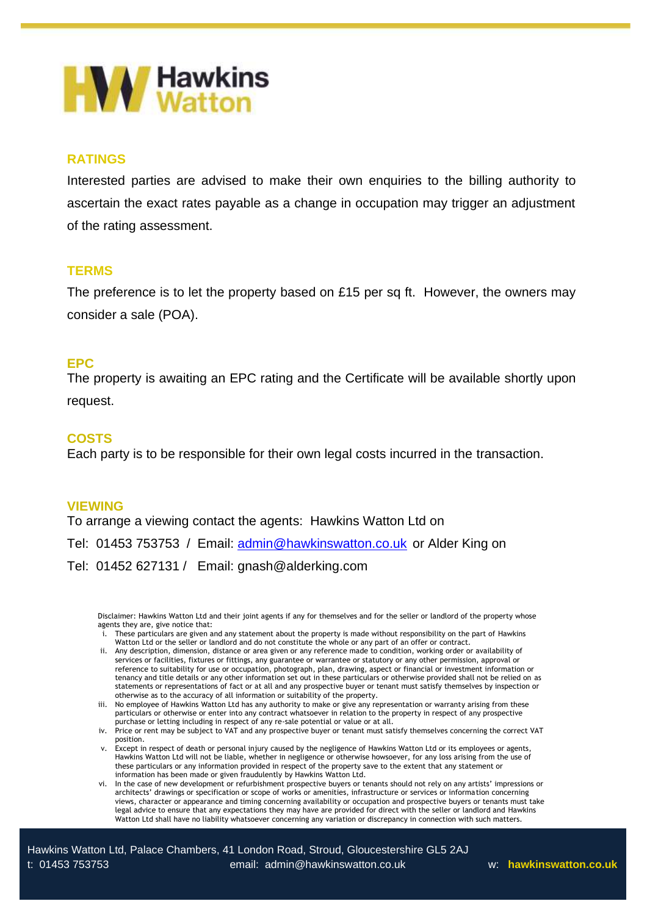

# **RATINGS**

Interested parties are advised to make their own enquiries to the billing authority to ascertain the exact rates payable as a change in occupation may trigger an adjustment of the rating assessment.

### **TERMS**

The preference is to let the property based on £15 per sq ft. However, the owners may consider a sale (POA).

### **EPC**

The property is awaiting an EPC rating and the Certificate will be available shortly upon request.

### **COSTS**

Each party is to be responsible for their own legal costs incurred in the transaction.

#### **VIEWING**

To arrange a viewing contact the agents: Hawkins Watton Ltd on

Tel: 01453 753753 / Email: [admin@hawkinswatton.co.uk](mailto:admin@hawkinswatton.co.uk) or Alder King on

Tel: 01452 627131 / Email: gnash@alderking.com

Disclaimer: Hawkins Watton Ltd and their joint agents if any for themselves and for the seller or landlord of the property whose agents they are, give notice that:

- i. These particulars are given and any statement about the property is made without responsibility on the part of Hawkins Watton Ltd or the seller or landlord and do not constitute the whole or any part of an offer or contract.
- ii. Any description, dimension, distance or area given or any reference made to condition, working order or availability of services or facilities, fixtures or fittings, any guarantee or warrantee or statutory or any other permission, approval or reference to suitability for use or occupation, photograph, plan, drawing, aspect or financial or investment information or tenancy and title details or any other information set out in these particulars or otherwise provided shall not be relied on as statements or representations of fact or at all and any prospective buyer or tenant must satisfy themselves by inspection or otherwise as to the accuracy of all information or suitability of the property.
- iii. No employee of Hawkins Watton Ltd has any authority to make or give any representation or warranty arising from these particulars or otherwise or enter into any contract whatsoever in relation to the property in respect of any prospective purchase or letting including in respect of any re-sale potential or value or at all.
- iv. Price or rent may be subject to VAT and any prospective buyer or tenant must satisfy themselves concerning the correct VAT position.
- v. Except in respect of death or personal injury caused by the negligence of Hawkins Watton Ltd or its employees or agents, Hawkins Watton Ltd will not be liable, whether in negligence or otherwise howsoever, for any loss arising from the use of these particulars or any information provided in respect of the property save to the extent that any statement or information has been made or given fraudulently by Hawkins Watton Ltd.
- vi. In the case of new development or refurbishment prospective buyers or tenants should not rely on any artists' impressions or architects' drawings or specification or scope of works or amenities, infrastructure or services or information concerning views, character or appearance and timing concerning availability or occupation and prospective buyers or tenants must take legal advice to ensure that any expectations they may have are provided for direct with the seller or landlord and Hawkins Watton Ltd shall have no liability whatsoever concerning any variation or discrepancy in connection with such matters.

Hawkins Watton Ltd, Palace Chambers, 41 London Road, Stroud, Gloucestershire GL5 2AJ t: 01453 753753 email: admin@hawkinswatton.co.uk w: **hawkinswatton.co.uk**